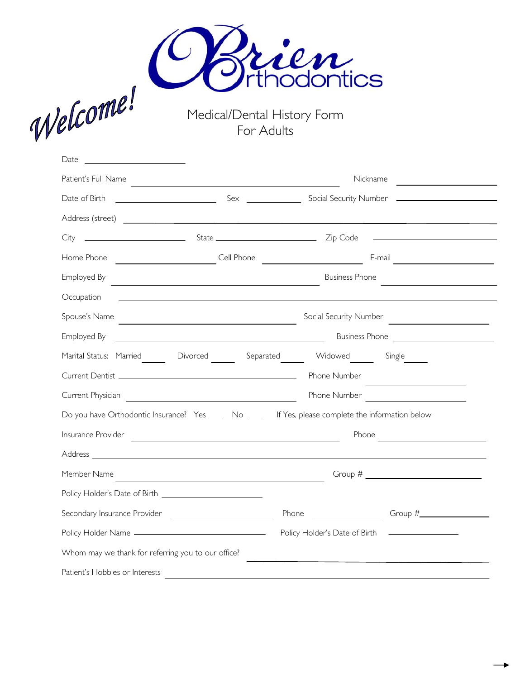



Medical/Dental History Form For Adults

| Date                                                                                                                                |                                                                                                                                                                                                                                                                                                                       |  |  |  |  |
|-------------------------------------------------------------------------------------------------------------------------------------|-----------------------------------------------------------------------------------------------------------------------------------------------------------------------------------------------------------------------------------------------------------------------------------------------------------------------|--|--|--|--|
| Patient's Full Name<br>the control of the control of the control of the control of the control of the control of                    | Nickname                                                                                                                                                                                                                                                                                                              |  |  |  |  |
| Date of Birth                                                                                                                       |                                                                                                                                                                                                                                                                                                                       |  |  |  |  |
|                                                                                                                                     |                                                                                                                                                                                                                                                                                                                       |  |  |  |  |
| <u>State</u> State <b>CONFIDENT</b> State <b>CONFIDENT</b> Zip Code<br>City                                                         |                                                                                                                                                                                                                                                                                                                       |  |  |  |  |
| Home Phone<br>Cell Phone                                                                                                            | <b>E-mail</b> E-mail<br><u> 1989 - Jan Stein, Amerikaansk politiker (</u>                                                                                                                                                                                                                                             |  |  |  |  |
| Employed By<br><u> 1980 - Johann Barn, mars ann an t-Amhain Aonaich an t-Aonaich an t-Aonaich ann an t-Aonaich ann an t-Aonaich</u> | <b>Business Phone</b><br><u> 1989 - Andrea State Barbara, martin de la provincia de la provincia de la provincia de la provincia de la pro</u>                                                                                                                                                                        |  |  |  |  |
| Occupation                                                                                                                          |                                                                                                                                                                                                                                                                                                                       |  |  |  |  |
| Spouse's Name                                                                                                                       | Social Security Number<br><u> 1980 - Johann Barn, mars ann an t-Amhair an t-Amhair an t-Amhair an t-Amhair an t-Amhair an t-Amhair an t-Amh</u>                                                                                                                                                                       |  |  |  |  |
| Employed By                                                                                                                         | <u> 1989 - Johann Barn, fransk politik (d. 1989)</u>                                                                                                                                                                                                                                                                  |  |  |  |  |
| Marital Status: Married Coverced Separated Widowed Single                                                                           |                                                                                                                                                                                                                                                                                                                       |  |  |  |  |
|                                                                                                                                     | Phone Number                                                                                                                                                                                                                                                                                                          |  |  |  |  |
| Current Physician                                                                                                                   | Phone Number                                                                                                                                                                                                                                                                                                          |  |  |  |  |
| Do you have Orthodontic Insurance? Yes ______ No _____ If Yes, please complete the information below                                |                                                                                                                                                                                                                                                                                                                       |  |  |  |  |
| Insurance Provider<br><u> 1989 - Johann Barnett, fransk politiker (d. 1989)</u>                                                     | Phone<br><u> 1999 - Jan James Barbara, politik e</u> ta profesora (h. 1918).<br>1901 - Johann Barbara, politik eta politik eta politik eta politik eta politik eta politik eta politik eta po                                                                                                                         |  |  |  |  |
|                                                                                                                                     |                                                                                                                                                                                                                                                                                                                       |  |  |  |  |
| Member Name                                                                                                                         | Group # $\frac{1}{2}$ $\frac{1}{2}$ $\frac{1}{2}$ $\frac{1}{2}$ $\frac{1}{2}$ $\frac{1}{2}$ $\frac{1}{2}$ $\frac{1}{2}$ $\frac{1}{2}$ $\frac{1}{2}$ $\frac{1}{2}$ $\frac{1}{2}$ $\frac{1}{2}$ $\frac{1}{2}$ $\frac{1}{2}$ $\frac{1}{2}$ $\frac{1}{2}$ $\frac{1}{2}$ $\frac{1}{2}$ $\frac{1}{2}$ $\frac{1}{2}$ $\frac$ |  |  |  |  |
|                                                                                                                                     |                                                                                                                                                                                                                                                                                                                       |  |  |  |  |
|                                                                                                                                     | Phone                                                                                                                                                                                                                                                                                                                 |  |  |  |  |
|                                                                                                                                     | Policy Holder's Date of Birth<br><u> Albanya (Albanya) a shi ne a shekara t</u>                                                                                                                                                                                                                                       |  |  |  |  |
| Whom may we thank for referring you to our office?                                                                                  |                                                                                                                                                                                                                                                                                                                       |  |  |  |  |
| Patient's Hobbies or Interests                                                                                                      |                                                                                                                                                                                                                                                                                                                       |  |  |  |  |